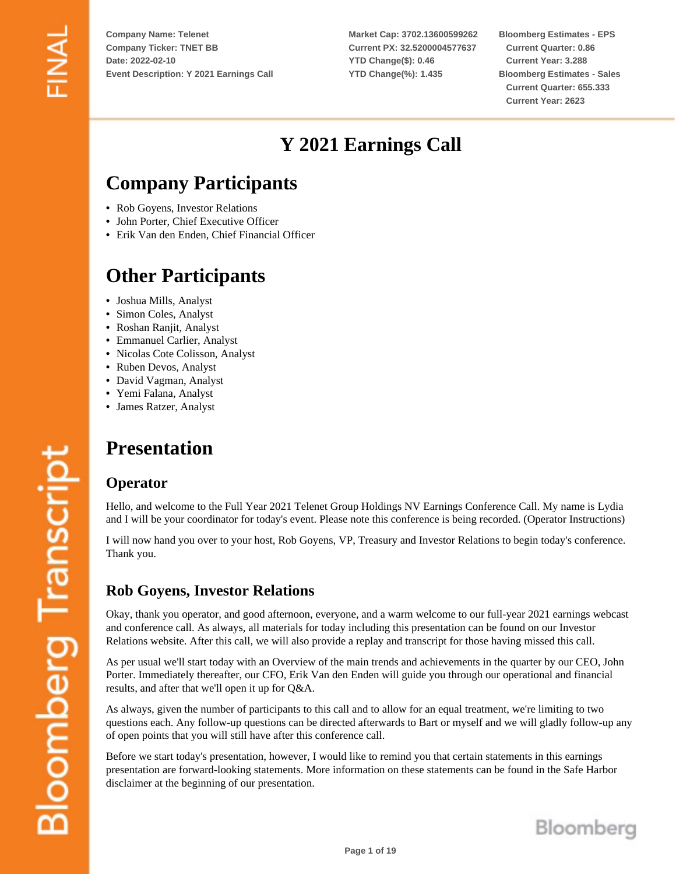**Market Cap: 3702.13600599262 Current PX: 32.5200004577637 YTD Change(\$): 0.46 YTD Change(%): 1.435**

**Bloomberg Estimates - EPS Current Quarter: 0.86 Current Year: 3.288 Bloomberg Estimates - Sales Current Quarter: 655.333 Current Year: 2623**

# **Y 2021 Earnings Call**

# **Company Participants**

- Rob Goyens, Investor Relations
- John Porter, Chief Executive Officer
- Erik Van den Enden, Chief Financial Officer

# **Other Participants**

- Joshua Mills, Analyst
- Simon Coles, Analyst
- Roshan Ranjit, Analyst
- Emmanuel Carlier, Analyst
- Nicolas Cote Colisson, Analyst
- Ruben Devos, Analyst
- David Vagman, Analyst
- Yemi Falana, Analyst
- James Ratzer, Analyst

# **Presentation**

#### **Operator**

Hello, and welcome to the Full Year 2021 Telenet Group Holdings NV Earnings Conference Call. My name is Lydia and I will be your coordinator for today's event. Please note this conference is being recorded. (Operator Instructions)

I will now hand you over to your host, Rob Goyens, VP, Treasury and Investor Relations to begin today's conference. Thank you.

## **Rob Goyens, Investor Relations**

Okay, thank you operator, and good afternoon, everyone, and a warm welcome to our full-year 2021 earnings webcast and conference call. As always, all materials for today including this presentation can be found on our Investor Relations website. After this call, we will also provide a replay and transcript for those having missed this call.

As per usual we'll start today with an Overview of the main trends and achievements in the quarter by our CEO, John Porter. Immediately thereafter, our CFO, Erik Van den Enden will guide you through our operational and financial results, and after that we'll open it up for Q&A.

As always, given the number of participants to this call and to allow for an equal treatment, we're limiting to two questions each. Any follow-up questions can be directed afterwards to Bart or myself and we will gladly follow-up any of open points that you will still have after this conference call.

Before we start today's presentation, however, I would like to remind you that certain statements in this earnings presentation are forward-looking statements. More information on these statements can be found in the Safe Harbor disclaimer at the beginning of our presentation.

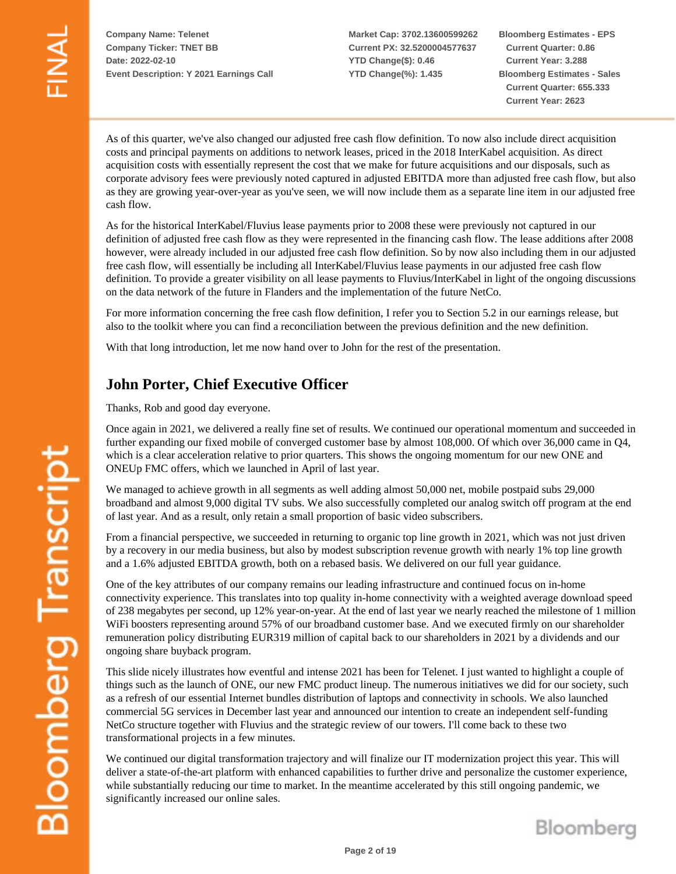**Market Cap: 3702.13600599262 Current PX: 32.5200004577637 YTD Change(\$): 0.46 YTD Change(%): 1.435**

**Bloomberg Estimates - EPS Current Quarter: 0.86 Current Year: 3.288 Bloomberg Estimates - Sales Current Quarter: 655.333 Current Year: 2623**

As of this quarter, we've also changed our adjusted free cash flow definition. To now also include direct acquisition costs and principal payments on additions to network leases, priced in the 2018 InterKabel acquisition. As direct acquisition costs with essentially represent the cost that we make for future acquisitions and our disposals, such as corporate advisory fees were previously noted captured in adjusted EBITDA more than adjusted free cash flow, but also as they are growing year-over-year as you've seen, we will now include them as a separate line item in our adjusted free cash flow.

As for the historical InterKabel/Fluvius lease payments prior to 2008 these were previously not captured in our definition of adjusted free cash flow as they were represented in the financing cash flow. The lease additions after 2008 however, were already included in our adjusted free cash flow definition. So by now also including them in our adjusted free cash flow, will essentially be including all InterKabel/Fluvius lease payments in our adjusted free cash flow definition. To provide a greater visibility on all lease payments to Fluvius/InterKabel in light of the ongoing discussions on the data network of the future in Flanders and the implementation of the future NetCo.

For more information concerning the free cash flow definition, I refer you to Section 5.2 in our earnings release, but also to the toolkit where you can find a reconciliation between the previous definition and the new definition.

With that long introduction, let me now hand over to John for the rest of the presentation.

## **John Porter, Chief Executive Officer**

Thanks, Rob and good day everyone.

Once again in 2021, we delivered a really fine set of results. We continued our operational momentum and succeeded in further expanding our fixed mobile of converged customer base by almost 108,000. Of which over 36,000 came in Q4, which is a clear acceleration relative to prior quarters. This shows the ongoing momentum for our new ONE and ONEUp FMC offers, which we launched in April of last year.

We managed to achieve growth in all segments as well adding almost 50,000 net, mobile postpaid subs 29,000 broadband and almost 9,000 digital TV subs. We also successfully completed our analog switch off program at the end of last year. And as a result, only retain a small proportion of basic video subscribers.

From a financial perspective, we succeeded in returning to organic top line growth in 2021, which was not just driven by a recovery in our media business, but also by modest subscription revenue growth with nearly 1% top line growth and a 1.6% adjusted EBITDA growth, both on a rebased basis. We delivered on our full year guidance.

One of the key attributes of our company remains our leading infrastructure and continued focus on in-home connectivity experience. This translates into top quality in-home connectivity with a weighted average download speed of 238 megabytes per second, up 12% year-on-year. At the end of last year we nearly reached the milestone of 1 million WiFi boosters representing around 57% of our broadband customer base. And we executed firmly on our shareholder remuneration policy distributing EUR319 million of capital back to our shareholders in 2021 by a dividends and our ongoing share buyback program.

This slide nicely illustrates how eventful and intense 2021 has been for Telenet. I just wanted to highlight a couple of things such as the launch of ONE, our new FMC product lineup. The numerous initiatives we did for our society, such as a refresh of our essential Internet bundles distribution of laptops and connectivity in schools. We also launched commercial 5G services in December last year and announced our intention to create an independent self-funding NetCo structure together with Fluvius and the strategic review of our towers. I'll come back to these two transformational projects in a few minutes.

We continued our digital transformation trajectory and will finalize our IT modernization project this year. This will deliver a state-of-the-art platform with enhanced capabilities to further drive and personalize the customer experience, while substantially reducing our time to market. In the meantime accelerated by this still ongoing pandemic, we significantly increased our online sales.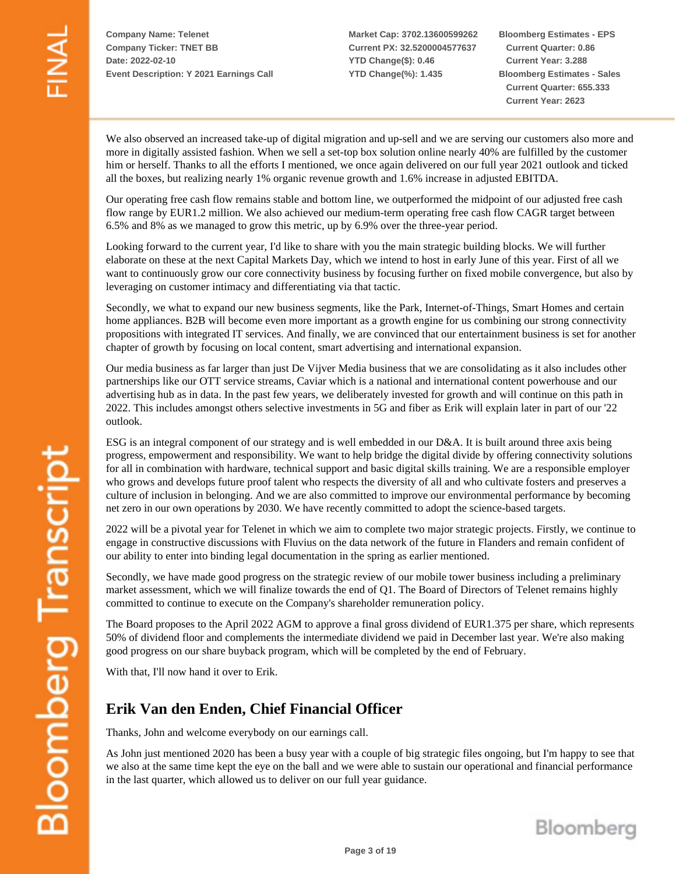**Market Cap: 3702.13600599262 Current PX: 32.5200004577637 YTD Change(\$): 0.46 YTD Change(%): 1.435**

**Bloomberg Estimates - EPS Current Quarter: 0.86 Current Year: 3.288 Bloomberg Estimates - Sales Current Quarter: 655.333 Current Year: 2623**

We also observed an increased take-up of digital migration and up-sell and we are serving our customers also more and more in digitally assisted fashion. When we sell a set-top box solution online nearly 40% are fulfilled by the customer him or herself. Thanks to all the efforts I mentioned, we once again delivered on our full year 2021 outlook and ticked all the boxes, but realizing nearly 1% organic revenue growth and 1.6% increase in adjusted EBITDA.

Our operating free cash flow remains stable and bottom line, we outperformed the midpoint of our adjusted free cash flow range by EUR1.2 million. We also achieved our medium-term operating free cash flow CAGR target between 6.5% and 8% as we managed to grow this metric, up by 6.9% over the three-year period.

Looking forward to the current year, I'd like to share with you the main strategic building blocks. We will further elaborate on these at the next Capital Markets Day, which we intend to host in early June of this year. First of all we want to continuously grow our core connectivity business by focusing further on fixed mobile convergence, but also by leveraging on customer intimacy and differentiating via that tactic.

Secondly, we what to expand our new business segments, like the Park, Internet-of-Things, Smart Homes and certain home appliances. B2B will become even more important as a growth engine for us combining our strong connectivity propositions with integrated IT services. And finally, we are convinced that our entertainment business is set for another chapter of growth by focusing on local content, smart advertising and international expansion.

Our media business as far larger than just De Vijver Media business that we are consolidating as it also includes other partnerships like our OTT service streams, Caviar which is a national and international content powerhouse and our advertising hub as in data. In the past few years, we deliberately invested for growth and will continue on this path in 2022. This includes amongst others selective investments in 5G and fiber as Erik will explain later in part of our '22 outlook.

ESG is an integral component of our strategy and is well embedded in our D&A. It is built around three axis being progress, empowerment and responsibility. We want to help bridge the digital divide by offering connectivity solutions for all in combination with hardware, technical support and basic digital skills training. We are a responsible employer who grows and develops future proof talent who respects the diversity of all and who cultivate fosters and preserves a culture of inclusion in belonging. And we are also committed to improve our environmental performance by becoming net zero in our own operations by 2030. We have recently committed to adopt the science-based targets.

2022 will be a pivotal year for Telenet in which we aim to complete two major strategic projects. Firstly, we continue to engage in constructive discussions with Fluvius on the data network of the future in Flanders and remain confident of our ability to enter into binding legal documentation in the spring as earlier mentioned.

Secondly, we have made good progress on the strategic review of our mobile tower business including a preliminary market assessment, which we will finalize towards the end of Q1. The Board of Directors of Telenet remains highly committed to continue to execute on the Company's shareholder remuneration policy.

The Board proposes to the April 2022 AGM to approve a final gross dividend of EUR1.375 per share, which represents 50% of dividend floor and complements the intermediate dividend we paid in December last year. We're also making good progress on our share buyback program, which will be completed by the end of February.

With that, I'll now hand it over to Erik.

## **Erik Van den Enden, Chief Financial Officer**

Thanks, John and welcome everybody on our earnings call.

As John just mentioned 2020 has been a busy year with a couple of big strategic files ongoing, but I'm happy to see that we also at the same time kept the eye on the ball and we were able to sustain our operational and financial performance in the last quarter, which allowed us to deliver on our full year guidance.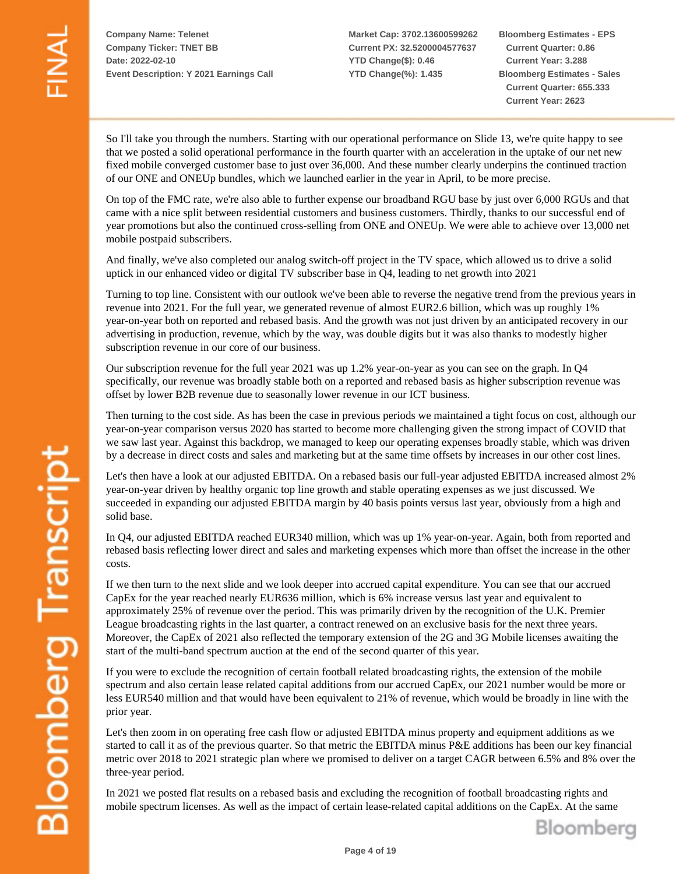**Market Cap: 3702.13600599262 Current PX: 32.5200004577637 YTD Change(\$): 0.46 YTD Change(%): 1.435**

**Bloomberg Estimates - EPS Current Quarter: 0.86 Current Year: 3.288 Bloomberg Estimates - Sales Current Quarter: 655.333 Current Year: 2623**

So I'll take you through the numbers. Starting with our operational performance on Slide 13, we're quite happy to see that we posted a solid operational performance in the fourth quarter with an acceleration in the uptake of our net new fixed mobile converged customer base to just over 36,000. And these number clearly underpins the continued traction of our ONE and ONEUp bundles, which we launched earlier in the year in April, to be more precise.

On top of the FMC rate, we're also able to further expense our broadband RGU base by just over 6,000 RGUs and that came with a nice split between residential customers and business customers. Thirdly, thanks to our successful end of year promotions but also the continued cross-selling from ONE and ONEUp. We were able to achieve over 13,000 net mobile postpaid subscribers.

And finally, we've also completed our analog switch-off project in the TV space, which allowed us to drive a solid uptick in our enhanced video or digital TV subscriber base in Q4, leading to net growth into 2021

Turning to top line. Consistent with our outlook we've been able to reverse the negative trend from the previous years in revenue into 2021. For the full year, we generated revenue of almost EUR2.6 billion, which was up roughly 1% year-on-year both on reported and rebased basis. And the growth was not just driven by an anticipated recovery in our advertising in production, revenue, which by the way, was double digits but it was also thanks to modestly higher subscription revenue in our core of our business.

Our subscription revenue for the full year 2021 was up 1.2% year-on-year as you can see on the graph. In Q4 specifically, our revenue was broadly stable both on a reported and rebased basis as higher subscription revenue was offset by lower B2B revenue due to seasonally lower revenue in our ICT business.

Then turning to the cost side. As has been the case in previous periods we maintained a tight focus on cost, although our year-on-year comparison versus 2020 has started to become more challenging given the strong impact of COVID that we saw last year. Against this backdrop, we managed to keep our operating expenses broadly stable, which was driven by a decrease in direct costs and sales and marketing but at the same time offsets by increases in our other cost lines.

Let's then have a look at our adjusted EBITDA. On a rebased basis our full-year adjusted EBITDA increased almost 2% year-on-year driven by healthy organic top line growth and stable operating expenses as we just discussed. We succeeded in expanding our adjusted EBITDA margin by 40 basis points versus last year, obviously from a high and solid base.

In Q4, our adjusted EBITDA reached EUR340 million, which was up 1% year-on-year. Again, both from reported and rebased basis reflecting lower direct and sales and marketing expenses which more than offset the increase in the other costs.

If we then turn to the next slide and we look deeper into accrued capital expenditure. You can see that our accrued CapEx for the year reached nearly EUR636 million, which is 6% increase versus last year and equivalent to approximately 25% of revenue over the period. This was primarily driven by the recognition of the U.K. Premier League broadcasting rights in the last quarter, a contract renewed on an exclusive basis for the next three years. Moreover, the CapEx of 2021 also reflected the temporary extension of the 2G and 3G Mobile licenses awaiting the start of the multi-band spectrum auction at the end of the second quarter of this year.

If you were to exclude the recognition of certain football related broadcasting rights, the extension of the mobile spectrum and also certain lease related capital additions from our accrued CapEx, our 2021 number would be more or less EUR540 million and that would have been equivalent to 21% of revenue, which would be broadly in line with the prior year.

Let's then zoom in on operating free cash flow or adjusted EBITDA minus property and equipment additions as we started to call it as of the previous quarter. So that metric the EBITDA minus P&E additions has been our key financial metric over 2018 to 2021 strategic plan where we promised to deliver on a target CAGR between 6.5% and 8% over the three-year period.

In 2021 we posted flat results on a rebased basis and excluding the recognition of football broadcasting rights and mobile spectrum licenses. As well as the impact of certain lease-related capital additions on the CapEx. At the same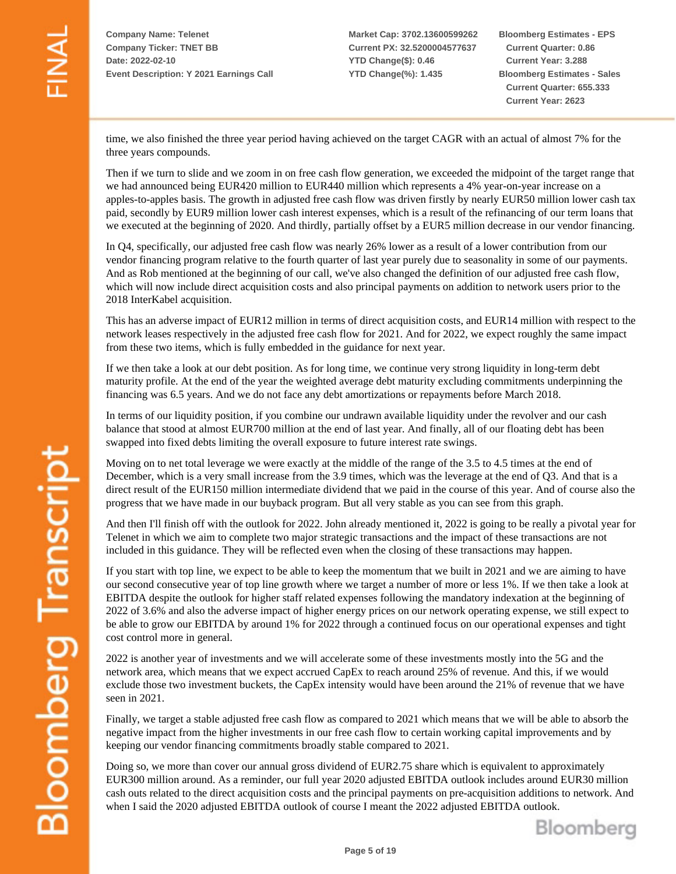**Market Cap: 3702.13600599262 Current PX: 32.5200004577637 YTD Change(\$): 0.46 YTD Change(%): 1.435**

**Bloomberg Estimates - EPS Current Quarter: 0.86 Current Year: 3.288 Bloomberg Estimates - Sales Current Quarter: 655.333 Current Year: 2623**

time, we also finished the three year period having achieved on the target CAGR with an actual of almost 7% for the three years compounds.

Then if we turn to slide and we zoom in on free cash flow generation, we exceeded the midpoint of the target range that we had announced being EUR420 million to EUR440 million which represents a 4% year-on-year increase on a apples-to-apples basis. The growth in adjusted free cash flow was driven firstly by nearly EUR50 million lower cash tax paid, secondly by EUR9 million lower cash interest expenses, which is a result of the refinancing of our term loans that we executed at the beginning of 2020. And thirdly, partially offset by a EUR5 million decrease in our vendor financing.

In Q4, specifically, our adjusted free cash flow was nearly 26% lower as a result of a lower contribution from our vendor financing program relative to the fourth quarter of last year purely due to seasonality in some of our payments. And as Rob mentioned at the beginning of our call, we've also changed the definition of our adjusted free cash flow, which will now include direct acquisition costs and also principal payments on addition to network users prior to the 2018 InterKabel acquisition.

This has an adverse impact of EUR12 million in terms of direct acquisition costs, and EUR14 million with respect to the network leases respectively in the adjusted free cash flow for 2021. And for 2022, we expect roughly the same impact from these two items, which is fully embedded in the guidance for next year.

If we then take a look at our debt position. As for long time, we continue very strong liquidity in long-term debt maturity profile. At the end of the year the weighted average debt maturity excluding commitments underpinning the financing was 6.5 years. And we do not face any debt amortizations or repayments before March 2018.

In terms of our liquidity position, if you combine our undrawn available liquidity under the revolver and our cash balance that stood at almost EUR700 million at the end of last year. And finally, all of our floating debt has been swapped into fixed debts limiting the overall exposure to future interest rate swings.

Moving on to net total leverage we were exactly at the middle of the range of the 3.5 to 4.5 times at the end of December, which is a very small increase from the 3.9 times, which was the leverage at the end of Q3. And that is a direct result of the EUR150 million intermediate dividend that we paid in the course of this year. And of course also the progress that we have made in our buyback program. But all very stable as you can see from this graph.

And then I'll finish off with the outlook for 2022. John already mentioned it, 2022 is going to be really a pivotal year for Telenet in which we aim to complete two major strategic transactions and the impact of these transactions are not included in this guidance. They will be reflected even when the closing of these transactions may happen.

If you start with top line, we expect to be able to keep the momentum that we built in 2021 and we are aiming to have our second consecutive year of top line growth where we target a number of more or less 1%. If we then take a look at EBITDA despite the outlook for higher staff related expenses following the mandatory indexation at the beginning of 2022 of 3.6% and also the adverse impact of higher energy prices on our network operating expense, we still expect to be able to grow our EBITDA by around 1% for 2022 through a continued focus on our operational expenses and tight cost control more in general.

2022 is another year of investments and we will accelerate some of these investments mostly into the 5G and the network area, which means that we expect accrued CapEx to reach around 25% of revenue. And this, if we would exclude those two investment buckets, the CapEx intensity would have been around the 21% of revenue that we have seen in 2021.

Finally, we target a stable adjusted free cash flow as compared to 2021 which means that we will be able to absorb the negative impact from the higher investments in our free cash flow to certain working capital improvements and by keeping our vendor financing commitments broadly stable compared to 2021.

Doing so, we more than cover our annual gross dividend of EUR2.75 share which is equivalent to approximately EUR300 million around. As a reminder, our full year 2020 adjusted EBITDA outlook includes around EUR30 million cash outs related to the direct acquisition costs and the principal payments on pre-acquisition additions to network. And when I said the 2020 adjusted EBITDA outlook of course I meant the 2022 adjusted EBITDA outlook.



**Bloomberg Transcript**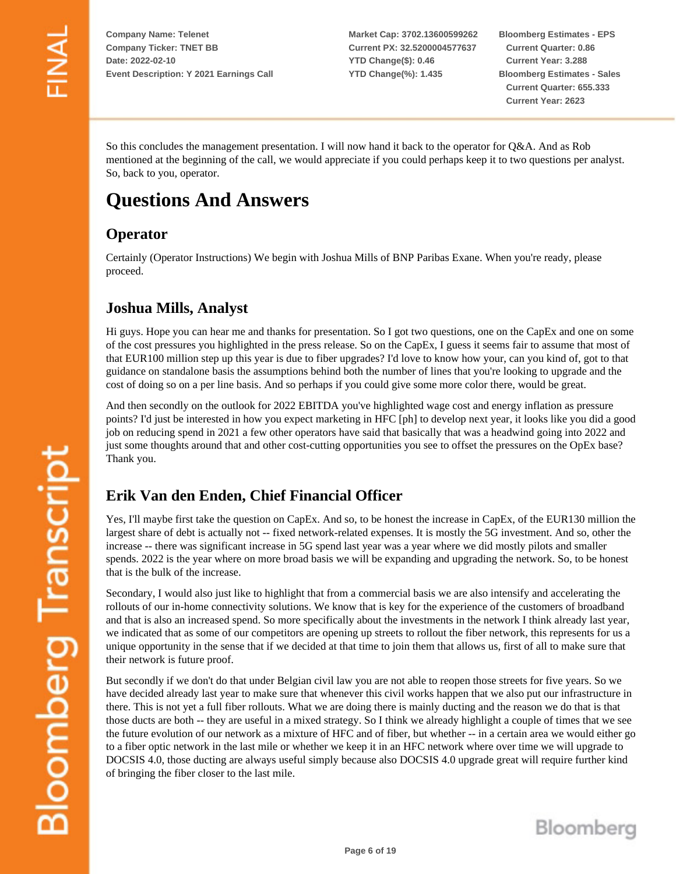**Market Cap: 3702.13600599262 Current PX: 32.5200004577637 YTD Change(\$): 0.46 YTD Change(%): 1.435**

**Bloomberg Estimates - EPS Current Quarter: 0.86 Current Year: 3.288 Bloomberg Estimates - Sales Current Quarter: 655.333 Current Year: 2623**

So this concludes the management presentation. I will now hand it back to the operator for Q&A. And as Rob mentioned at the beginning of the call, we would appreciate if you could perhaps keep it to two questions per analyst. So, back to you, operator.

# **Questions And Answers**

## **Operator**

Certainly (Operator Instructions) We begin with Joshua Mills of BNP Paribas Exane. When you're ready, please proceed.

## **Joshua Mills, Analyst**

Hi guys. Hope you can hear me and thanks for presentation. So I got two questions, one on the CapEx and one on some of the cost pressures you highlighted in the press release. So on the CapEx, I guess it seems fair to assume that most of that EUR100 million step up this year is due to fiber upgrades? I'd love to know how your, can you kind of, got to that guidance on standalone basis the assumptions behind both the number of lines that you're looking to upgrade and the cost of doing so on a per line basis. And so perhaps if you could give some more color there, would be great.

And then secondly on the outlook for 2022 EBITDA you've highlighted wage cost and energy inflation as pressure points? I'd just be interested in how you expect marketing in HFC [ph] to develop next year, it looks like you did a good job on reducing spend in 2021 a few other operators have said that basically that was a headwind going into 2022 and just some thoughts around that and other cost-cutting opportunities you see to offset the pressures on the OpEx base? Thank you.

## **Erik Van den Enden, Chief Financial Officer**

Yes, I'll maybe first take the question on CapEx. And so, to be honest the increase in CapEx, of the EUR130 million the largest share of debt is actually not -- fixed network-related expenses. It is mostly the 5G investment. And so, other the increase -- there was significant increase in 5G spend last year was a year where we did mostly pilots and smaller spends. 2022 is the year where on more broad basis we will be expanding and upgrading the network. So, to be honest that is the bulk of the increase.

Secondary, I would also just like to highlight that from a commercial basis we are also intensify and accelerating the rollouts of our in-home connectivity solutions. We know that is key for the experience of the customers of broadband and that is also an increased spend. So more specifically about the investments in the network I think already last year, we indicated that as some of our competitors are opening up streets to rollout the fiber network, this represents for us a unique opportunity in the sense that if we decided at that time to join them that allows us, first of all to make sure that their network is future proof.

But secondly if we don't do that under Belgian civil law you are not able to reopen those streets for five years. So we have decided already last year to make sure that whenever this civil works happen that we also put our infrastructure in there. This is not yet a full fiber rollouts. What we are doing there is mainly ducting and the reason we do that is that those ducts are both -- they are useful in a mixed strategy. So I think we already highlight a couple of times that we see the future evolution of our network as a mixture of HFC and of fiber, but whether -- in a certain area we would either go to a fiber optic network in the last mile or whether we keep it in an HFC network where over time we will upgrade to DOCSIS 4.0, those ducting are always useful simply because also DOCSIS 4.0 upgrade great will require further kind of bringing the fiber closer to the last mile.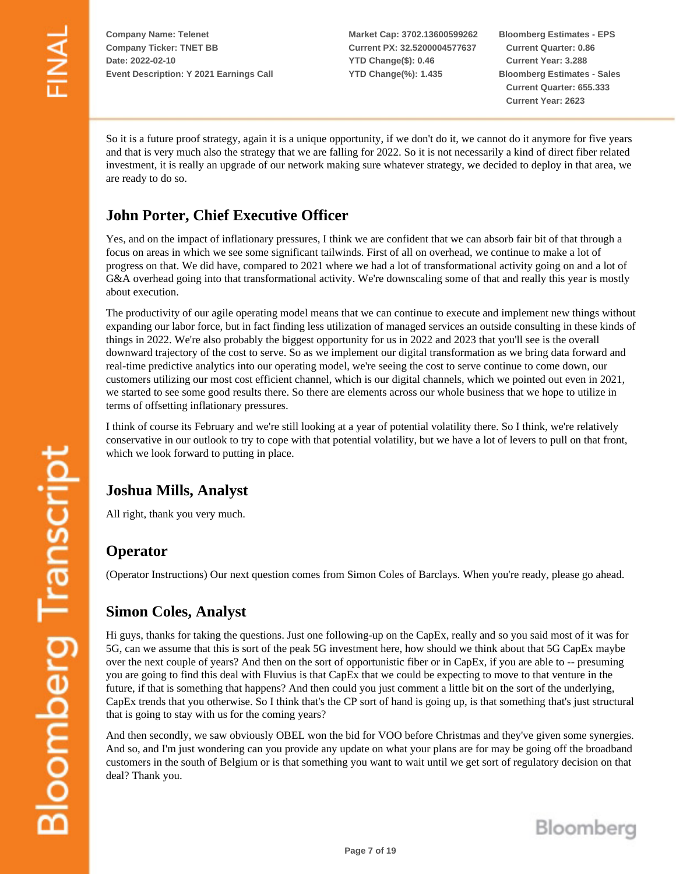**Market Cap: 3702.13600599262 Current PX: 32.5200004577637 YTD Change(\$): 0.46 YTD Change(%): 1.435**

**Bloomberg Estimates - EPS Current Quarter: 0.86 Current Year: 3.288 Bloomberg Estimates - Sales Current Quarter: 655.333 Current Year: 2623**

So it is a future proof strategy, again it is a unique opportunity, if we don't do it, we cannot do it anymore for five years and that is very much also the strategy that we are falling for 2022. So it is not necessarily a kind of direct fiber related investment, it is really an upgrade of our network making sure whatever strategy, we decided to deploy in that area, we are ready to do so.

## **John Porter, Chief Executive Officer**

Yes, and on the impact of inflationary pressures, I think we are confident that we can absorb fair bit of that through a focus on areas in which we see some significant tailwinds. First of all on overhead, we continue to make a lot of progress on that. We did have, compared to 2021 where we had a lot of transformational activity going on and a lot of G&A overhead going into that transformational activity. We're downscaling some of that and really this year is mostly about execution.

The productivity of our agile operating model means that we can continue to execute and implement new things without expanding our labor force, but in fact finding less utilization of managed services an outside consulting in these kinds of things in 2022. We're also probably the biggest opportunity for us in 2022 and 2023 that you'll see is the overall downward trajectory of the cost to serve. So as we implement our digital transformation as we bring data forward and real-time predictive analytics into our operating model, we're seeing the cost to serve continue to come down, our customers utilizing our most cost efficient channel, which is our digital channels, which we pointed out even in 2021, we started to see some good results there. So there are elements across our whole business that we hope to utilize in terms of offsetting inflationary pressures.

I think of course its February and we're still looking at a year of potential volatility there. So I think, we're relatively conservative in our outlook to try to cope with that potential volatility, but we have a lot of levers to pull on that front, which we look forward to putting in place.

## **Joshua Mills, Analyst**

All right, thank you very much.

#### **Operator**

(Operator Instructions) Our next question comes from Simon Coles of Barclays. When you're ready, please go ahead.

#### **Simon Coles, Analyst**

Hi guys, thanks for taking the questions. Just one following-up on the CapEx, really and so you said most of it was for 5G, can we assume that this is sort of the peak 5G investment here, how should we think about that 5G CapEx maybe over the next couple of years? And then on the sort of opportunistic fiber or in CapEx, if you are able to -- presuming you are going to find this deal with Fluvius is that CapEx that we could be expecting to move to that venture in the future, if that is something that happens? And then could you just comment a little bit on the sort of the underlying, CapEx trends that you otherwise. So I think that's the CP sort of hand is going up, is that something that's just structural that is going to stay with us for the coming years?

And then secondly, we saw obviously OBEL won the bid for VOO before Christmas and they've given some synergies. And so, and I'm just wondering can you provide any update on what your plans are for may be going off the broadband customers in the south of Belgium or is that something you want to wait until we get sort of regulatory decision on that deal? Thank you.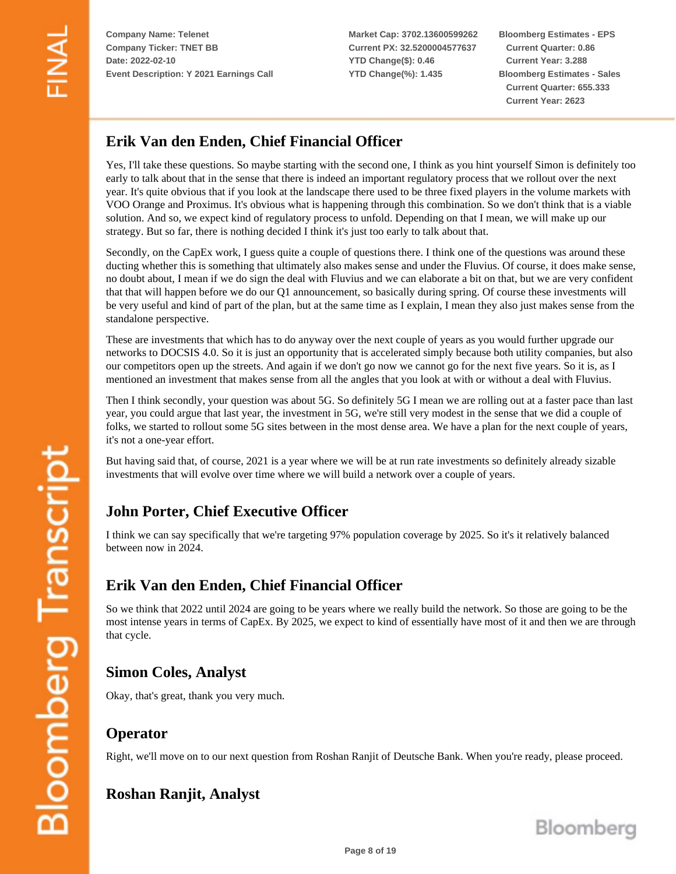**Market Cap: 3702.13600599262 Current PX: 32.5200004577637 YTD Change(\$): 0.46 YTD Change(%): 1.435**

**Bloomberg Estimates - EPS Current Quarter: 0.86 Current Year: 3.288 Bloomberg Estimates - Sales Current Quarter: 655.333 Current Year: 2623**

## **Erik Van den Enden, Chief Financial Officer**

Yes, I'll take these questions. So maybe starting with the second one, I think as you hint yourself Simon is definitely too early to talk about that in the sense that there is indeed an important regulatory process that we rollout over the next year. It's quite obvious that if you look at the landscape there used to be three fixed players in the volume markets with VOO Orange and Proximus. It's obvious what is happening through this combination. So we don't think that is a viable solution. And so, we expect kind of regulatory process to unfold. Depending on that I mean, we will make up our strategy. But so far, there is nothing decided I think it's just too early to talk about that.

Secondly, on the CapEx work, I guess quite a couple of questions there. I think one of the questions was around these ducting whether this is something that ultimately also makes sense and under the Fluvius. Of course, it does make sense, no doubt about, I mean if we do sign the deal with Fluvius and we can elaborate a bit on that, but we are very confident that that will happen before we do our Q1 announcement, so basically during spring. Of course these investments will be very useful and kind of part of the plan, but at the same time as I explain, I mean they also just makes sense from the standalone perspective.

These are investments that which has to do anyway over the next couple of years as you would further upgrade our networks to DOCSIS 4.0. So it is just an opportunity that is accelerated simply because both utility companies, but also our competitors open up the streets. And again if we don't go now we cannot go for the next five years. So it is, as I mentioned an investment that makes sense from all the angles that you look at with or without a deal with Fluvius.

Then I think secondly, your question was about 5G. So definitely 5G I mean we are rolling out at a faster pace than last year, you could argue that last year, the investment in 5G, we're still very modest in the sense that we did a couple of folks, we started to rollout some 5G sites between in the most dense area. We have a plan for the next couple of years, it's not a one-year effort.

But having said that, of course, 2021 is a year where we will be at run rate investments so definitely already sizable investments that will evolve over time where we will build a network over a couple of years.

## **John Porter, Chief Executive Officer**

I think we can say specifically that we're targeting 97% population coverage by 2025. So it's it relatively balanced between now in 2024.

#### **Erik Van den Enden, Chief Financial Officer**

So we think that 2022 until 2024 are going to be years where we really build the network. So those are going to be the most intense years in terms of CapEx. By 2025, we expect to kind of essentially have most of it and then we are through that cycle.

## **Simon Coles, Analyst**

Okay, that's great, thank you very much.

#### **Operator**

Right, we'll move on to our next question from Roshan Ranjit of Deutsche Bank. When you're ready, please proceed.

## **Roshan Ranjit, Analyst**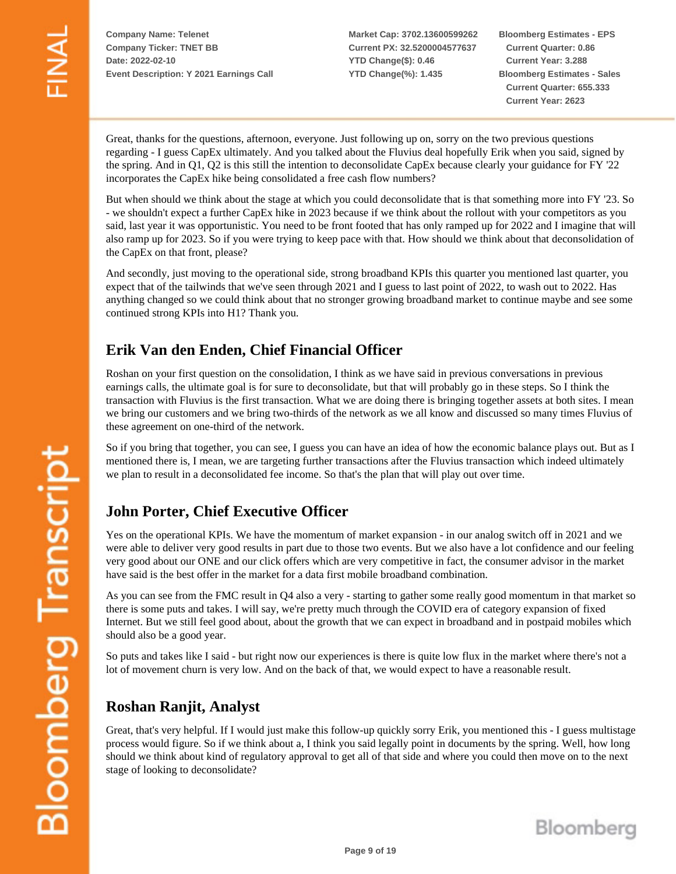**Market Cap: 3702.13600599262 Current PX: 32.5200004577637 YTD Change(\$): 0.46 YTD Change(%): 1.435**

**Bloomberg Estimates - EPS Current Quarter: 0.86 Current Year: 3.288 Bloomberg Estimates - Sales Current Quarter: 655.333 Current Year: 2623**

Great, thanks for the questions, afternoon, everyone. Just following up on, sorry on the two previous questions regarding - I guess CapEx ultimately. And you talked about the Fluvius deal hopefully Erik when you said, signed by the spring. And in Q1, Q2 is this still the intention to deconsolidate CapEx because clearly your guidance for FY '22 incorporates the CapEx hike being consolidated a free cash flow numbers?

But when should we think about the stage at which you could deconsolidate that is that something more into FY '23. So - we shouldn't expect a further CapEx hike in 2023 because if we think about the rollout with your competitors as you said, last year it was opportunistic. You need to be front footed that has only ramped up for 2022 and I imagine that will also ramp up for 2023. So if you were trying to keep pace with that. How should we think about that deconsolidation of the CapEx on that front, please?

And secondly, just moving to the operational side, strong broadband KPIs this quarter you mentioned last quarter, you expect that of the tailwinds that we've seen through 2021 and I guess to last point of 2022, to wash out to 2022. Has anything changed so we could think about that no stronger growing broadband market to continue maybe and see some continued strong KPIs into H1? Thank you.

#### **Erik Van den Enden, Chief Financial Officer**

Roshan on your first question on the consolidation, I think as we have said in previous conversations in previous earnings calls, the ultimate goal is for sure to deconsolidate, but that will probably go in these steps. So I think the transaction with Fluvius is the first transaction. What we are doing there is bringing together assets at both sites. I mean we bring our customers and we bring two-thirds of the network as we all know and discussed so many times Fluvius of these agreement on one-third of the network.

So if you bring that together, you can see, I guess you can have an idea of how the economic balance plays out. But as I mentioned there is, I mean, we are targeting further transactions after the Fluvius transaction which indeed ultimately we plan to result in a deconsolidated fee income. So that's the plan that will play out over time.

## **John Porter, Chief Executive Officer**

Yes on the operational KPIs. We have the momentum of market expansion - in our analog switch off in 2021 and we were able to deliver very good results in part due to those two events. But we also have a lot confidence and our feeling very good about our ONE and our click offers which are very competitive in fact, the consumer advisor in the market have said is the best offer in the market for a data first mobile broadband combination.

As you can see from the FMC result in Q4 also a very - starting to gather some really good momentum in that market so there is some puts and takes. I will say, we're pretty much through the COVID era of category expansion of fixed Internet. But we still feel good about, about the growth that we can expect in broadband and in postpaid mobiles which should also be a good year.

So puts and takes like I said - but right now our experiences is there is quite low flux in the market where there's not a lot of movement churn is very low. And on the back of that, we would expect to have a reasonable result.

#### **Roshan Ranjit, Analyst**

Great, that's very helpful. If I would just make this follow-up quickly sorry Erik, you mentioned this - I guess multistage process would figure. So if we think about a, I think you said legally point in documents by the spring. Well, how long should we think about kind of regulatory approval to get all of that side and where you could then move on to the next stage of looking to deconsolidate?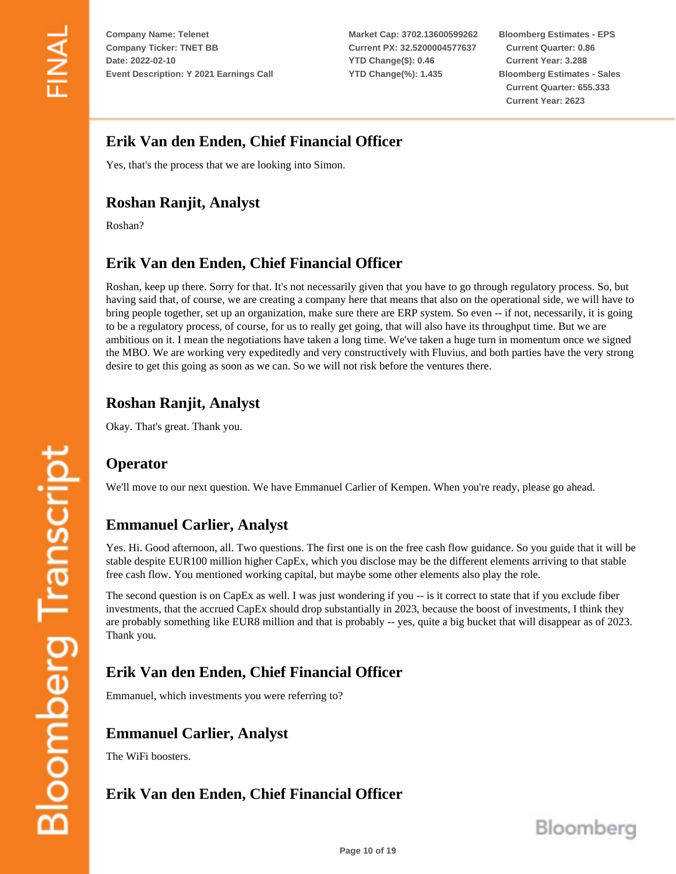**Market Cap: 3702.13600599262 Current PX: 32.5200004577637 YTD Change(\$): 0.46 YTD Change(%): 1.435**

**Bloomberg Estimates - EPS Current Quarter: 0.86 Current Year: 3.288 Bloomberg Estimates - Sales Current Quarter: 655.333 Current Year: 2623**

## **Erik Van den Enden, Chief Financial Officer**

Yes, that's the process that we are looking into Simon.

## **Roshan Ranjit, Analyst**

Roshan?

## **Erik Van den Enden, Chief Financial Officer**

Roshan, keep up there. Sorry for that. It's not necessarily given that you have to go through regulatory process. So, but having said that, of course, we are creating a company here that means that also on the operational side, we will have to bring people together, set up an organization, make sure there are ERP system. So even -- if not, necessarily, it is going to be a regulatory process, of course, for us to really get going, that will also have its throughput time. But we are ambitious on it. I mean the negotiations have taken a long time. We've taken a huge turn in momentum once we signed the MBO. We are working very expeditedly and very constructively with Fluvius, and both parties have the very strong desire to get this going as soon as we can. So we will not risk before the ventures there.

#### **Roshan Ranjit, Analyst**

Okay. That's great. Thank you.

## **Operator**

We'll move to our next question. We have Emmanuel Carlier of Kempen. When you're ready, please go ahead.

## **Emmanuel Carlier, Analyst**

Yes. Hi. Good afternoon, all. Two questions. The first one is on the free cash flow guidance. So you guide that it will be stable despite EUR100 million higher CapEx, which you disclose may be the different elements arriving to that stable free cash flow. You mentioned working capital, but maybe some other elements also play the role.

The second question is on CapEx as well. I was just wondering if you -- is it correct to state that if you exclude fiber investments, that the accrued CapEx should drop substantially in 2023, because the boost of investments, I think they are probably something like EUR8 million and that is probably -- yes, quite a big bucket that will disappear as of 2023. Thank you.

# **Erik Van den Enden, Chief Financial Officer**

Emmanuel, which investments you were referring to?

## **Emmanuel Carlier, Analyst**

The WiFi boosters.

## **Erik Van den Enden, Chief Financial Officer**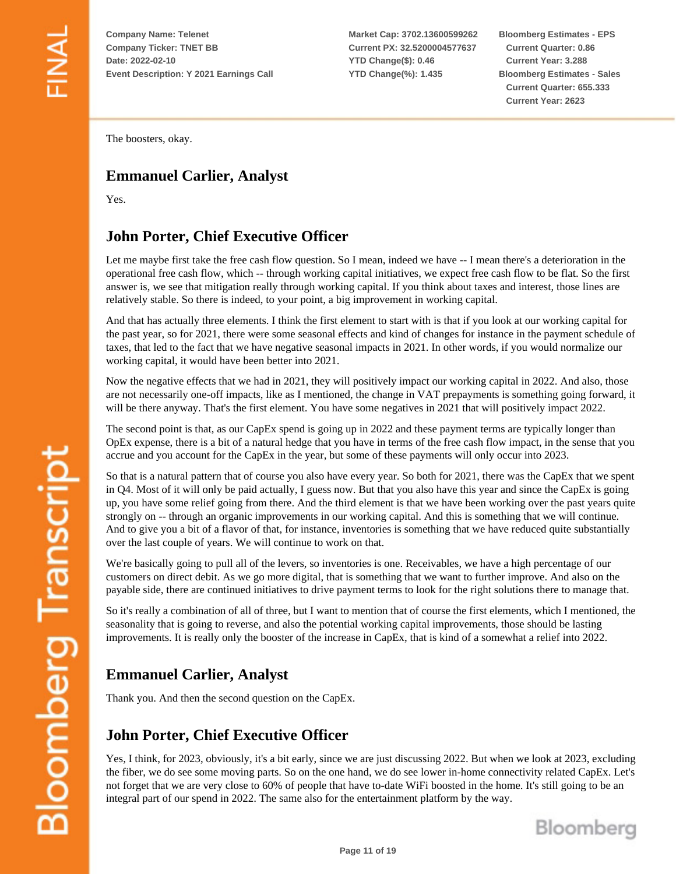**Market Cap: 3702.13600599262 Current PX: 32.5200004577637 YTD Change(\$): 0.46 YTD Change(%): 1.435**

**Bloomberg Estimates - EPS Current Quarter: 0.86 Current Year: 3.288 Bloomberg Estimates - Sales Current Quarter: 655.333 Current Year: 2623**

The boosters, okay.

#### **Emmanuel Carlier, Analyst**

Yes.

#### **John Porter, Chief Executive Officer**

Let me maybe first take the free cash flow question. So I mean, indeed we have -- I mean there's a deterioration in the operational free cash flow, which -- through working capital initiatives, we expect free cash flow to be flat. So the first answer is, we see that mitigation really through working capital. If you think about taxes and interest, those lines are relatively stable. So there is indeed, to your point, a big improvement in working capital.

And that has actually three elements. I think the first element to start with is that if you look at our working capital for the past year, so for 2021, there were some seasonal effects and kind of changes for instance in the payment schedule of taxes, that led to the fact that we have negative seasonal impacts in 2021. In other words, if you would normalize our working capital, it would have been better into 2021.

Now the negative effects that we had in 2021, they will positively impact our working capital in 2022. And also, those are not necessarily one-off impacts, like as I mentioned, the change in VAT prepayments is something going forward, it will be there anyway. That's the first element. You have some negatives in 2021 that will positively impact 2022.

The second point is that, as our CapEx spend is going up in 2022 and these payment terms are typically longer than OpEx expense, there is a bit of a natural hedge that you have in terms of the free cash flow impact, in the sense that you accrue and you account for the CapEx in the year, but some of these payments will only occur into 2023.

So that is a natural pattern that of course you also have every year. So both for 2021, there was the CapEx that we spent in Q4. Most of it will only be paid actually, I guess now. But that you also have this year and since the CapEx is going up, you have some relief going from there. And the third element is that we have been working over the past years quite strongly on -- through an organic improvements in our working capital. And this is something that we will continue. And to give you a bit of a flavor of that, for instance, inventories is something that we have reduced quite substantially over the last couple of years. We will continue to work on that.

We're basically going to pull all of the levers, so inventories is one. Receivables, we have a high percentage of our customers on direct debit. As we go more digital, that is something that we want to further improve. And also on the payable side, there are continued initiatives to drive payment terms to look for the right solutions there to manage that.

So it's really a combination of all of three, but I want to mention that of course the first elements, which I mentioned, the seasonality that is going to reverse, and also the potential working capital improvements, those should be lasting improvements. It is really only the booster of the increase in CapEx, that is kind of a somewhat a relief into 2022.

# **Emmanuel Carlier, Analyst**

Thank you. And then the second question on the CapEx.

#### **John Porter, Chief Executive Officer**

Yes, I think, for 2023, obviously, it's a bit early, since we are just discussing 2022. But when we look at 2023, excluding the fiber, we do see some moving parts. So on the one hand, we do see lower in-home connectivity related CapEx. Let's not forget that we are very close to 60% of people that have to-date WiFi boosted in the home. It's still going to be an integral part of our spend in 2022. The same also for the entertainment platform by the way.

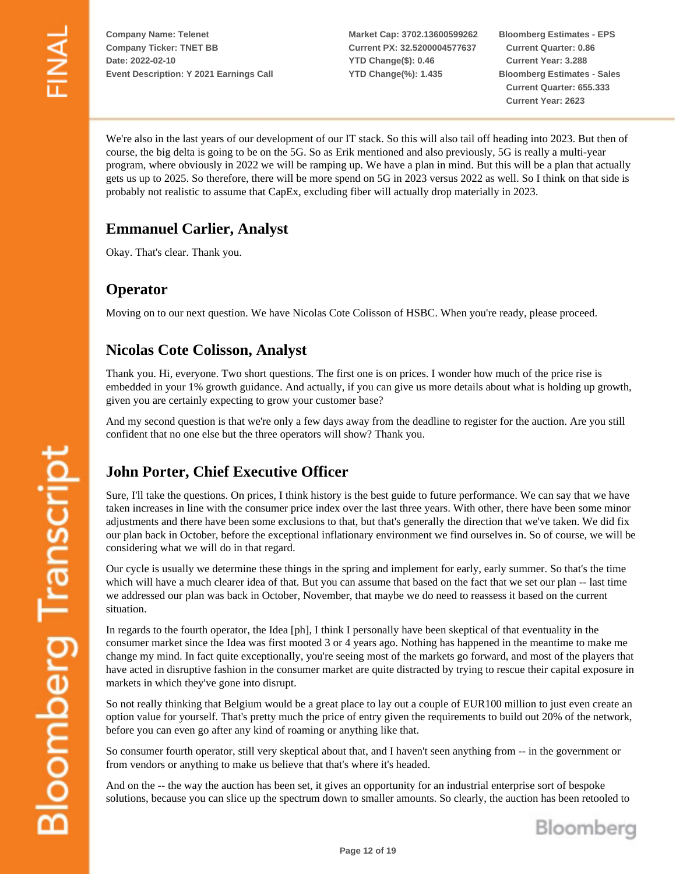**Market Cap: 3702.13600599262 Current PX: 32.5200004577637 YTD Change(\$): 0.46 YTD Change(%): 1.435**

**Bloomberg Estimates - EPS Current Quarter: 0.86 Current Year: 3.288 Bloomberg Estimates - Sales Current Quarter: 655.333 Current Year: 2623**

We're also in the last years of our development of our IT stack. So this will also tail off heading into 2023. But then of course, the big delta is going to be on the 5G. So as Erik mentioned and also previously, 5G is really a multi-year program, where obviously in 2022 we will be ramping up. We have a plan in mind. But this will be a plan that actually gets us up to 2025. So therefore, there will be more spend on 5G in 2023 versus 2022 as well. So I think on that side is probably not realistic to assume that CapEx, excluding fiber will actually drop materially in 2023.

#### **Emmanuel Carlier, Analyst**

Okay. That's clear. Thank you.

#### **Operator**

Moving on to our next question. We have Nicolas Cote Colisson of HSBC. When you're ready, please proceed.

#### **Nicolas Cote Colisson, Analyst**

Thank you. Hi, everyone. Two short questions. The first one is on prices. I wonder how much of the price rise is embedded in your 1% growth guidance. And actually, if you can give us more details about what is holding up growth, given you are certainly expecting to grow your customer base?

And my second question is that we're only a few days away from the deadline to register for the auction. Are you still confident that no one else but the three operators will show? Thank you.

# **John Porter, Chief Executive Officer**

Sure, I'll take the questions. On prices, I think history is the best guide to future performance. We can say that we have taken increases in line with the consumer price index over the last three years. With other, there have been some minor adjustments and there have been some exclusions to that, but that's generally the direction that we've taken. We did fix our plan back in October, before the exceptional inflationary environment we find ourselves in. So of course, we will be considering what we will do in that regard.

Our cycle is usually we determine these things in the spring and implement for early, early summer. So that's the time which will have a much clearer idea of that. But you can assume that based on the fact that we set our plan -- last time we addressed our plan was back in October, November, that maybe we do need to reassess it based on the current situation.

In regards to the fourth operator, the Idea [ph], I think I personally have been skeptical of that eventuality in the consumer market since the Idea was first mooted 3 or 4 years ago. Nothing has happened in the meantime to make me change my mind. In fact quite exceptionally, you're seeing most of the markets go forward, and most of the players that have acted in disruptive fashion in the consumer market are quite distracted by trying to rescue their capital exposure in markets in which they've gone into disrupt.

So not really thinking that Belgium would be a great place to lay out a couple of EUR100 million to just even create an option value for yourself. That's pretty much the price of entry given the requirements to build out 20% of the network, before you can even go after any kind of roaming or anything like that.

So consumer fourth operator, still very skeptical about that, and I haven't seen anything from -- in the government or from vendors or anything to make us believe that that's where it's headed.

And on the -- the way the auction has been set, it gives an opportunity for an industrial enterprise sort of bespoke solutions, because you can slice up the spectrum down to smaller amounts. So clearly, the auction has been retooled to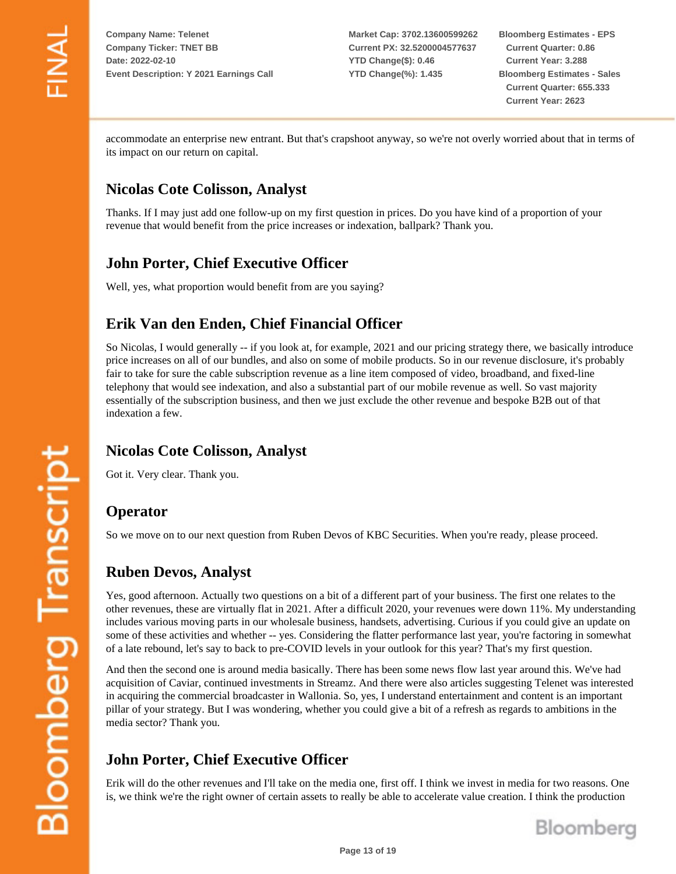**Market Cap: 3702.13600599262 Current PX: 32.5200004577637 YTD Change(\$): 0.46 YTD Change(%): 1.435**

**Bloomberg Estimates - EPS Current Quarter: 0.86 Current Year: 3.288 Bloomberg Estimates - Sales Current Quarter: 655.333 Current Year: 2623**

accommodate an enterprise new entrant. But that's crapshoot anyway, so we're not overly worried about that in terms of its impact on our return on capital.

#### **Nicolas Cote Colisson, Analyst**

Thanks. If I may just add one follow-up on my first question in prices. Do you have kind of a proportion of your revenue that would benefit from the price increases or indexation, ballpark? Thank you.

#### **John Porter, Chief Executive Officer**

Well, yes, what proportion would benefit from are you saying?

#### **Erik Van den Enden, Chief Financial Officer**

So Nicolas, I would generally -- if you look at, for example, 2021 and our pricing strategy there, we basically introduce price increases on all of our bundles, and also on some of mobile products. So in our revenue disclosure, it's probably fair to take for sure the cable subscription revenue as a line item composed of video, broadband, and fixed-line telephony that would see indexation, and also a substantial part of our mobile revenue as well. So vast majority essentially of the subscription business, and then we just exclude the other revenue and bespoke B2B out of that indexation a few.

## **Nicolas Cote Colisson, Analyst**

Got it. Very clear. Thank you.

#### **Operator**

So we move on to our next question from Ruben Devos of KBC Securities. When you're ready, please proceed.

#### **Ruben Devos, Analyst**

Yes, good afternoon. Actually two questions on a bit of a different part of your business. The first one relates to the other revenues, these are virtually flat in 2021. After a difficult 2020, your revenues were down 11%. My understanding includes various moving parts in our wholesale business, handsets, advertising. Curious if you could give an update on some of these activities and whether -- yes. Considering the flatter performance last year, you're factoring in somewhat of a late rebound, let's say to back to pre-COVID levels in your outlook for this year? That's my first question.

And then the second one is around media basically. There has been some news flow last year around this. We've had acquisition of Caviar, continued investments in Streamz. And there were also articles suggesting Telenet was interested in acquiring the commercial broadcaster in Wallonia. So, yes, I understand entertainment and content is an important pillar of your strategy. But I was wondering, whether you could give a bit of a refresh as regards to ambitions in the media sector? Thank you.

## **John Porter, Chief Executive Officer**

Erik will do the other revenues and I'll take on the media one, first off. I think we invest in media for two reasons. One is, we think we're the right owner of certain assets to really be able to accelerate value creation. I think the production

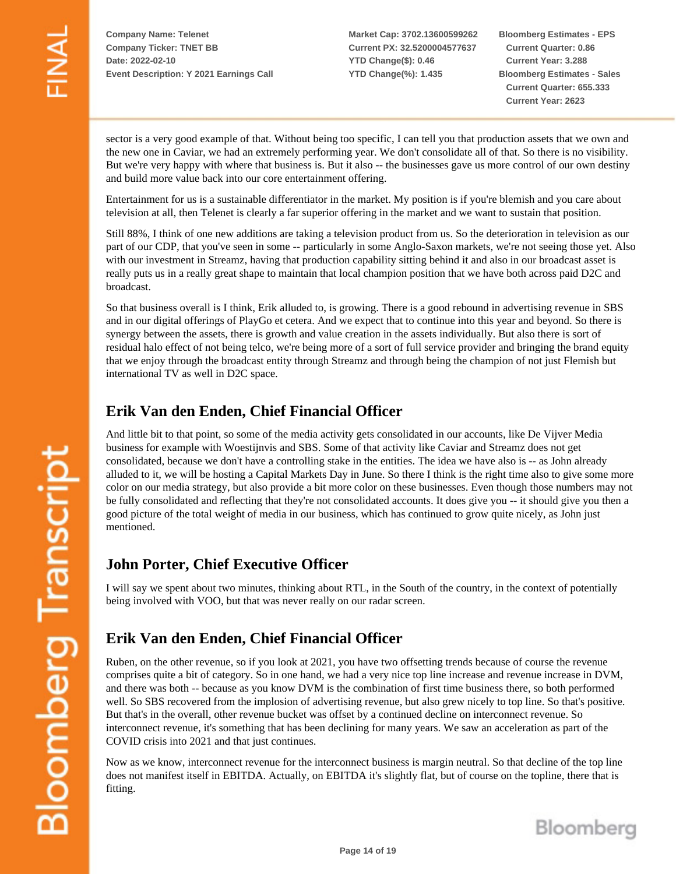**Market Cap: 3702.13600599262 Current PX: 32.5200004577637 YTD Change(\$): 0.46 YTD Change(%): 1.435**

**Bloomberg Estimates - EPS Current Quarter: 0.86 Current Year: 3.288 Bloomberg Estimates - Sales Current Quarter: 655.333 Current Year: 2623**

sector is a very good example of that. Without being too specific, I can tell you that production assets that we own and the new one in Caviar, we had an extremely performing year. We don't consolidate all of that. So there is no visibility. But we're very happy with where that business is. But it also -- the businesses gave us more control of our own destiny and build more value back into our core entertainment offering.

Entertainment for us is a sustainable differentiator in the market. My position is if you're blemish and you care about television at all, then Telenet is clearly a far superior offering in the market and we want to sustain that position.

Still 88%, I think of one new additions are taking a television product from us. So the deterioration in television as our part of our CDP, that you've seen in some -- particularly in some Anglo-Saxon markets, we're not seeing those yet. Also with our investment in Streamz, having that production capability sitting behind it and also in our broadcast asset is really puts us in a really great shape to maintain that local champion position that we have both across paid D2C and broadcast.

So that business overall is I think, Erik alluded to, is growing. There is a good rebound in advertising revenue in SBS and in our digital offerings of PlayGo et cetera. And we expect that to continue into this year and beyond. So there is synergy between the assets, there is growth and value creation in the assets individually. But also there is sort of residual halo effect of not being telco, we're being more of a sort of full service provider and bringing the brand equity that we enjoy through the broadcast entity through Streamz and through being the champion of not just Flemish but international TV as well in D2C space.

#### **Erik Van den Enden, Chief Financial Officer**

And little bit to that point, so some of the media activity gets consolidated in our accounts, like De Vijver Media business for example with Woestijnvis and SBS. Some of that activity like Caviar and Streamz does not get consolidated, because we don't have a controlling stake in the entities. The idea we have also is -- as John already alluded to it, we will be hosting a Capital Markets Day in June. So there I think is the right time also to give some more color on our media strategy, but also provide a bit more color on these businesses. Even though those numbers may not be fully consolidated and reflecting that they're not consolidated accounts. It does give you -- it should give you then a good picture of the total weight of media in our business, which has continued to grow quite nicely, as John just mentioned.

#### **John Porter, Chief Executive Officer**

I will say we spent about two minutes, thinking about RTL, in the South of the country, in the context of potentially being involved with VOO, but that was never really on our radar screen.

## **Erik Van den Enden, Chief Financial Officer**

Ruben, on the other revenue, so if you look at 2021, you have two offsetting trends because of course the revenue comprises quite a bit of category. So in one hand, we had a very nice top line increase and revenue increase in DVM, and there was both -- because as you know DVM is the combination of first time business there, so both performed well. So SBS recovered from the implosion of advertising revenue, but also grew nicely to top line. So that's positive. But that's in the overall, other revenue bucket was offset by a continued decline on interconnect revenue. So interconnect revenue, it's something that has been declining for many years. We saw an acceleration as part of the COVID crisis into 2021 and that just continues.

Now as we know, interconnect revenue for the interconnect business is margin neutral. So that decline of the top line does not manifest itself in EBITDA. Actually, on EBITDA it's slightly flat, but of course on the topline, there that is fitting.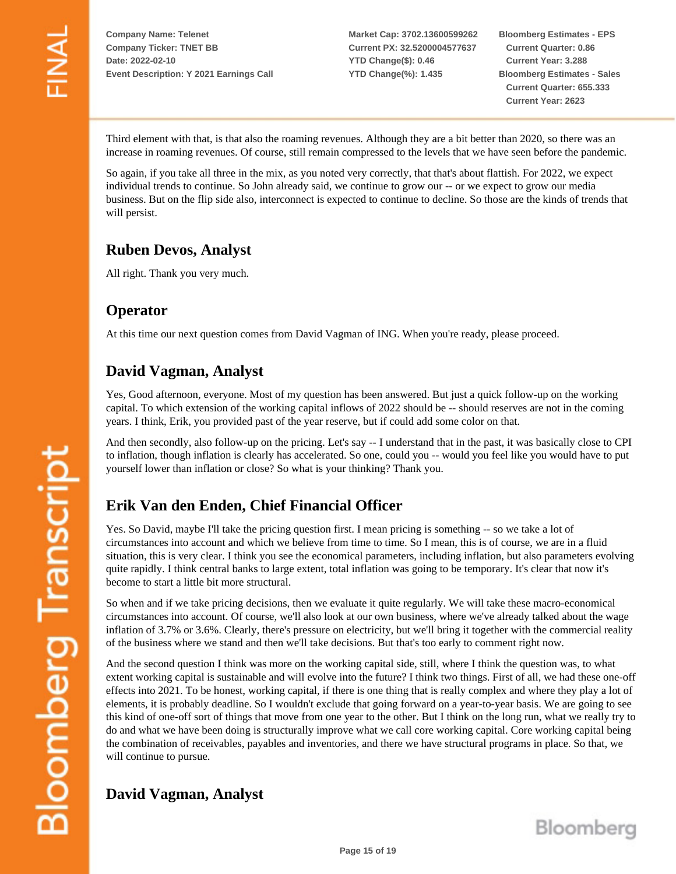**Market Cap: 3702.13600599262 Current PX: 32.5200004577637 YTD Change(\$): 0.46 YTD Change(%): 1.435**

**Bloomberg Estimates - EPS Current Quarter: 0.86 Current Year: 3.288 Bloomberg Estimates - Sales Current Quarter: 655.333 Current Year: 2623**

Third element with that, is that also the roaming revenues. Although they are a bit better than 2020, so there was an increase in roaming revenues. Of course, still remain compressed to the levels that we have seen before the pandemic.

So again, if you take all three in the mix, as you noted very correctly, that that's about flattish. For 2022, we expect individual trends to continue. So John already said, we continue to grow our -- or we expect to grow our media business. But on the flip side also, interconnect is expected to continue to decline. So those are the kinds of trends that will persist.

#### **Ruben Devos, Analyst**

All right. Thank you very much.

#### **Operator**

At this time our next question comes from David Vagman of ING. When you're ready, please proceed.

#### **David Vagman, Analyst**

Yes, Good afternoon, everyone. Most of my question has been answered. But just a quick follow-up on the working capital. To which extension of the working capital inflows of 2022 should be -- should reserves are not in the coming years. I think, Erik, you provided past of the year reserve, but if could add some color on that.

And then secondly, also follow-up on the pricing. Let's say -- I understand that in the past, it was basically close to CPI to inflation, though inflation is clearly has accelerated. So one, could you -- would you feel like you would have to put yourself lower than inflation or close? So what is your thinking? Thank you.

# **Erik Van den Enden, Chief Financial Officer**

Yes. So David, maybe I'll take the pricing question first. I mean pricing is something -- so we take a lot of circumstances into account and which we believe from time to time. So I mean, this is of course, we are in a fluid situation, this is very clear. I think you see the economical parameters, including inflation, but also parameters evolving quite rapidly. I think central banks to large extent, total inflation was going to be temporary. It's clear that now it's become to start a little bit more structural.

So when and if we take pricing decisions, then we evaluate it quite regularly. We will take these macro-economical circumstances into account. Of course, we'll also look at our own business, where we've already talked about the wage inflation of 3.7% or 3.6%. Clearly, there's pressure on electricity, but we'll bring it together with the commercial reality of the business where we stand and then we'll take decisions. But that's too early to comment right now.

And the second question I think was more on the working capital side, still, where I think the question was, to what extent working capital is sustainable and will evolve into the future? I think two things. First of all, we had these one-off effects into 2021. To be honest, working capital, if there is one thing that is really complex and where they play a lot of elements, it is probably deadline. So I wouldn't exclude that going forward on a year-to-year basis. We are going to see this kind of one-off sort of things that move from one year to the other. But I think on the long run, what we really try to do and what we have been doing is structurally improve what we call core working capital. Core working capital being the combination of receivables, payables and inventories, and there we have structural programs in place. So that, we will continue to pursue.

## **David Vagman, Analyst**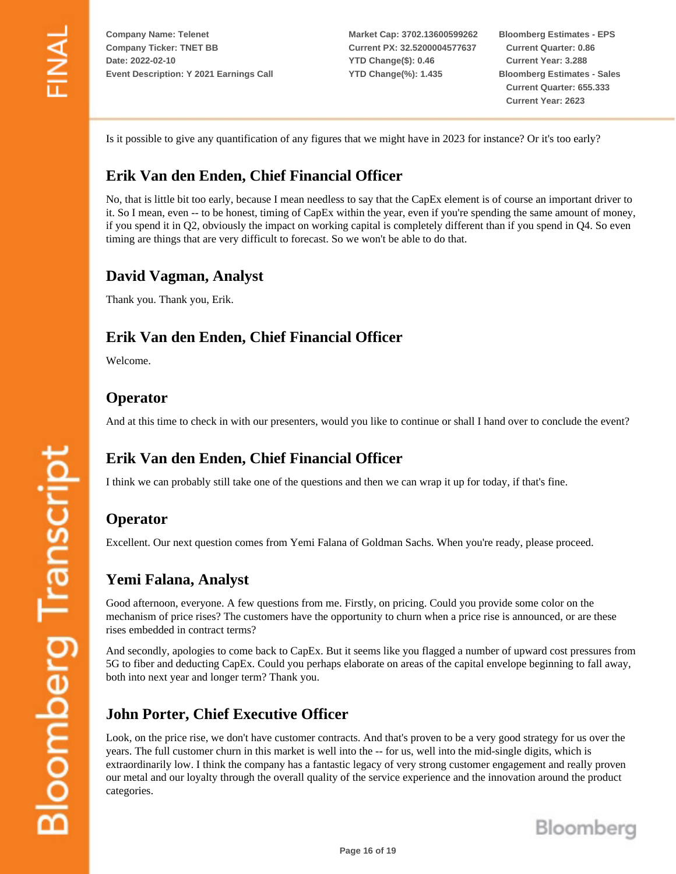**Market Cap: 3702.13600599262 Current PX: 32.5200004577637 YTD Change(\$): 0.46 YTD Change(%): 1.435**

**Bloomberg Estimates - EPS Current Quarter: 0.86 Current Year: 3.288 Bloomberg Estimates - Sales Current Quarter: 655.333 Current Year: 2623**

Is it possible to give any quantification of any figures that we might have in 2023 for instance? Or it's too early?

#### **Erik Van den Enden, Chief Financial Officer**

No, that is little bit too early, because I mean needless to say that the CapEx element is of course an important driver to it. So I mean, even -- to be honest, timing of CapEx within the year, even if you're spending the same amount of money, if you spend it in Q2, obviously the impact on working capital is completely different than if you spend in Q4. So even timing are things that are very difficult to forecast. So we won't be able to do that.

#### **David Vagman, Analyst**

Thank you. Thank you, Erik.

#### **Erik Van den Enden, Chief Financial Officer**

Welcome.

#### **Operator**

And at this time to check in with our presenters, would you like to continue or shall I hand over to conclude the event?

#### **Erik Van den Enden, Chief Financial Officer**

I think we can probably still take one of the questions and then we can wrap it up for today, if that's fine.

#### **Operator**

Excellent. Our next question comes from Yemi Falana of Goldman Sachs. When you're ready, please proceed.

#### **Yemi Falana, Analyst**

Good afternoon, everyone. A few questions from me. Firstly, on pricing. Could you provide some color on the mechanism of price rises? The customers have the opportunity to churn when a price rise is announced, or are these rises embedded in contract terms?

And secondly, apologies to come back to CapEx. But it seems like you flagged a number of upward cost pressures from 5G to fiber and deducting CapEx. Could you perhaps elaborate on areas of the capital envelope beginning to fall away, both into next year and longer term? Thank you.

#### **John Porter, Chief Executive Officer**

Look, on the price rise, we don't have customer contracts. And that's proven to be a very good strategy for us over the years. The full customer churn in this market is well into the -- for us, well into the mid-single digits, which is extraordinarily low. I think the company has a fantastic legacy of very strong customer engagement and really proven our metal and our loyalty through the overall quality of the service experience and the innovation around the product categories.

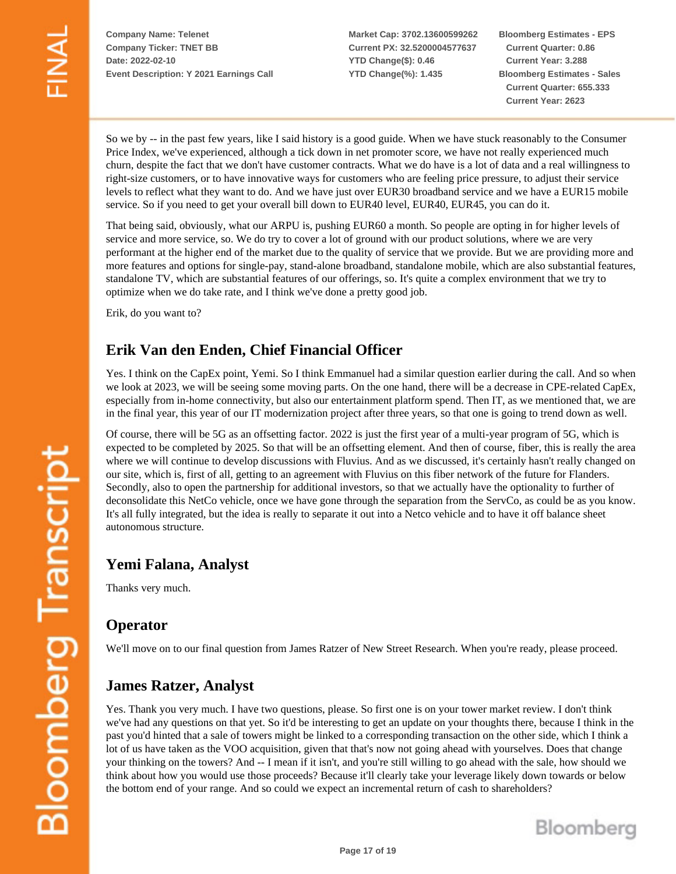**Market Cap: 3702.13600599262 Current PX: 32.5200004577637 YTD Change(\$): 0.46 YTD Change(%): 1.435**

**Bloomberg Estimates - EPS Current Quarter: 0.86 Current Year: 3.288 Bloomberg Estimates - Sales Current Quarter: 655.333 Current Year: 2623**

So we by -- in the past few years, like I said history is a good guide. When we have stuck reasonably to the Consumer Price Index, we've experienced, although a tick down in net promoter score, we have not really experienced much churn, despite the fact that we don't have customer contracts. What we do have is a lot of data and a real willingness to right-size customers, or to have innovative ways for customers who are feeling price pressure, to adjust their service levels to reflect what they want to do. And we have just over EUR30 broadband service and we have a EUR15 mobile service. So if you need to get your overall bill down to EUR40 level, EUR40, EUR45, you can do it.

That being said, obviously, what our ARPU is, pushing EUR60 a month. So people are opting in for higher levels of service and more service, so. We do try to cover a lot of ground with our product solutions, where we are very performant at the higher end of the market due to the quality of service that we provide. But we are providing more and more features and options for single-pay, stand-alone broadband, standalone mobile, which are also substantial features, standalone TV, which are substantial features of our offerings, so. It's quite a complex environment that we try to optimize when we do take rate, and I think we've done a pretty good job.

Erik, do you want to?

#### **Erik Van den Enden, Chief Financial Officer**

Yes. I think on the CapEx point, Yemi. So I think Emmanuel had a similar question earlier during the call. And so when we look at 2023, we will be seeing some moving parts. On the one hand, there will be a decrease in CPE-related CapEx, especially from in-home connectivity, but also our entertainment platform spend. Then IT, as we mentioned that, we are in the final year, this year of our IT modernization project after three years, so that one is going to trend down as well.

Of course, there will be 5G as an offsetting factor. 2022 is just the first year of a multi-year program of 5G, which is expected to be completed by 2025. So that will be an offsetting element. And then of course, fiber, this is really the area where we will continue to develop discussions with Fluvius. And as we discussed, it's certainly hasn't really changed on our site, which is, first of all, getting to an agreement with Fluvius on this fiber network of the future for Flanders. Secondly, also to open the partnership for additional investors, so that we actually have the optionality to further of deconsolidate this NetCo vehicle, once we have gone through the separation from the ServCo, as could be as you know. It's all fully integrated, but the idea is really to separate it out into a Netco vehicle and to have it off balance sheet autonomous structure.

#### **Yemi Falana, Analyst**

Thanks very much.

#### **Operator**

We'll move on to our final question from James Ratzer of New Street Research. When you're ready, please proceed.

#### **James Ratzer, Analyst**

Yes. Thank you very much. I have two questions, please. So first one is on your tower market review. I don't think we've had any questions on that yet. So it'd be interesting to get an update on your thoughts there, because I think in the past you'd hinted that a sale of towers might be linked to a corresponding transaction on the other side, which I think a lot of us have taken as the VOO acquisition, given that that's now not going ahead with yourselves. Does that change your thinking on the towers? And -- I mean if it isn't, and you're still willing to go ahead with the sale, how should we think about how you would use those proceeds? Because it'll clearly take your leverage likely down towards or below the bottom end of your range. And so could we expect an incremental return of cash to shareholders?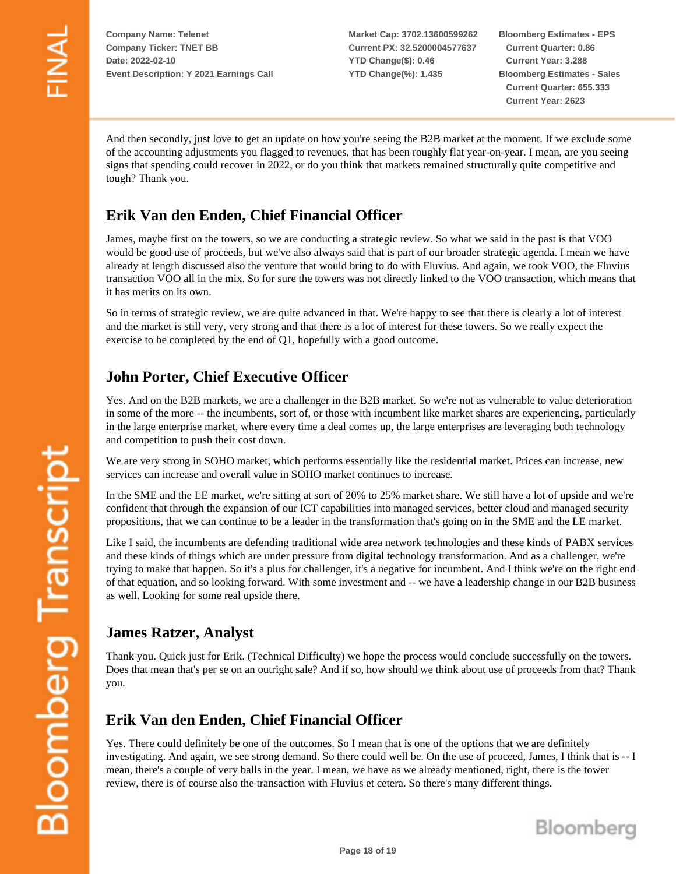**Market Cap: 3702.13600599262 Current PX: 32.5200004577637 YTD Change(\$): 0.46 YTD Change(%): 1.435**

**Bloomberg Estimates - EPS Current Quarter: 0.86 Current Year: 3.288 Bloomberg Estimates - Sales Current Quarter: 655.333 Current Year: 2623**

And then secondly, just love to get an update on how you're seeing the B2B market at the moment. If we exclude some of the accounting adjustments you flagged to revenues, that has been roughly flat year-on-year. I mean, are you seeing signs that spending could recover in 2022, or do you think that markets remained structurally quite competitive and tough? Thank you.

## **Erik Van den Enden, Chief Financial Officer**

James, maybe first on the towers, so we are conducting a strategic review. So what we said in the past is that VOO would be good use of proceeds, but we've also always said that is part of our broader strategic agenda. I mean we have already at length discussed also the venture that would bring to do with Fluvius. And again, we took VOO, the Fluvius transaction VOO all in the mix. So for sure the towers was not directly linked to the VOO transaction, which means that it has merits on its own.

So in terms of strategic review, we are quite advanced in that. We're happy to see that there is clearly a lot of interest and the market is still very, very strong and that there is a lot of interest for these towers. So we really expect the exercise to be completed by the end of Q1, hopefully with a good outcome.

#### **John Porter, Chief Executive Officer**

Yes. And on the B2B markets, we are a challenger in the B2B market. So we're not as vulnerable to value deterioration in some of the more -- the incumbents, sort of, or those with incumbent like market shares are experiencing, particularly in the large enterprise market, where every time a deal comes up, the large enterprises are leveraging both technology and competition to push their cost down.

We are very strong in SOHO market, which performs essentially like the residential market. Prices can increase, new services can increase and overall value in SOHO market continues to increase.

In the SME and the LE market, we're sitting at sort of 20% to 25% market share. We still have a lot of upside and we're confident that through the expansion of our ICT capabilities into managed services, better cloud and managed security propositions, that we can continue to be a leader in the transformation that's going on in the SME and the LE market.

Like I said, the incumbents are defending traditional wide area network technologies and these kinds of PABX services and these kinds of things which are under pressure from digital technology transformation. And as a challenger, we're trying to make that happen. So it's a plus for challenger, it's a negative for incumbent. And I think we're on the right end of that equation, and so looking forward. With some investment and -- we have a leadership change in our B2B business as well. Looking for some real upside there.

#### **James Ratzer, Analyst**

Thank you. Quick just for Erik. (Technical Difficulty) we hope the process would conclude successfully on the towers. Does that mean that's per se on an outright sale? And if so, how should we think about use of proceeds from that? Thank you.

#### **Erik Van den Enden, Chief Financial Officer**

Yes. There could definitely be one of the outcomes. So I mean that is one of the options that we are definitely investigating. And again, we see strong demand. So there could well be. On the use of proceed, James, I think that is -- I mean, there's a couple of very balls in the year. I mean, we have as we already mentioned, right, there is the tower review, there is of course also the transaction with Fluvius et cetera. So there's many different things.